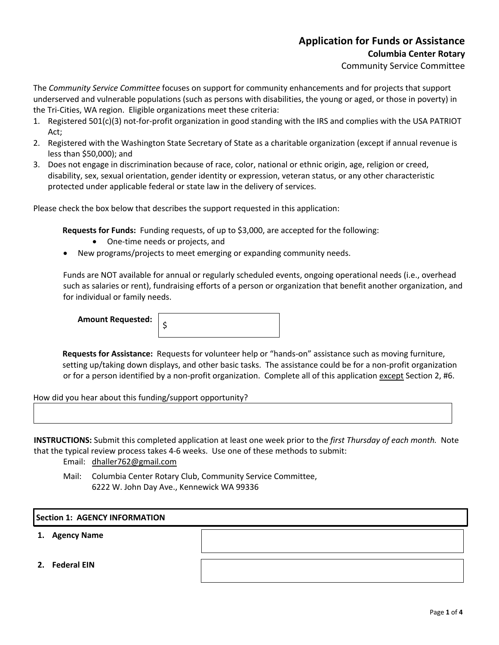## **Application for Funds or Assistance Columbia Center Rotary**

Community Service Committee

The *Community Service Committee* focuses on support for community enhancements and for projects that support underserved and vulnerable populations (such as persons with disabilities, the young or aged, or those in poverty) in the Tri-Cities, WA region. Eligible organizations meet these criteria:

- 1. Registered 501(c)(3) not-for-profit organization in good standing with the IRS and complies with the USA PATRIOT Act;
- 2. Registered with the Washington State Secretary of State as a charitable organization (except if annual revenue is less than \$50,000); and
- 3. Does not engage in discrimination because of race, color, national or ethnic origin, age, religion or creed, disability, sex, sexual orientation, gender identity or expression, veteran status, or any other characteristic protected under applicable federal or state law in the delivery of services.

Please check the box below that describes the support requested in this application:

**Requests for Funds:** Funding requests, of up to \$3,000, are accepted for the following:

- One-time needs or projects, and
- New programs/projects to meet emerging or expanding community needs.

Funds are NOT available for annual or regularly scheduled events, ongoing operational needs (i.e., overhead such as salaries or rent), fundraising efforts of a person or organization that benefit another organization, and for individual or family needs.

**Amount Requested** 

|--|--|--|--|--|--|--|

**Requests for Assistance:** Requests for volunteer help or "hands-on" assistance such as moving furniture, setting up/taking down displays, and other basic tasks. The assistance could be for a non-profit organization or for a person identified by a non-profit organization. Complete all of this application except Section 2, #6.

How did you hear about this funding/support opportunity?

**INSTRUCTIONS:** Submit this completed application at least one week prior to the *first Thursday of each month.* Note that the typical review process takes 4-6 weeks. Use one of these methods to submit:

Email: dhaller762@gmail.com

Mail: Columbia Center Rotary Club, Community Service Committee, 6222 W. John Day Ave., Kennewick WA 99336

## **Section 1: AGENCY INFORMATION**

- **1. Agency Name**
- **2. Federal EIN**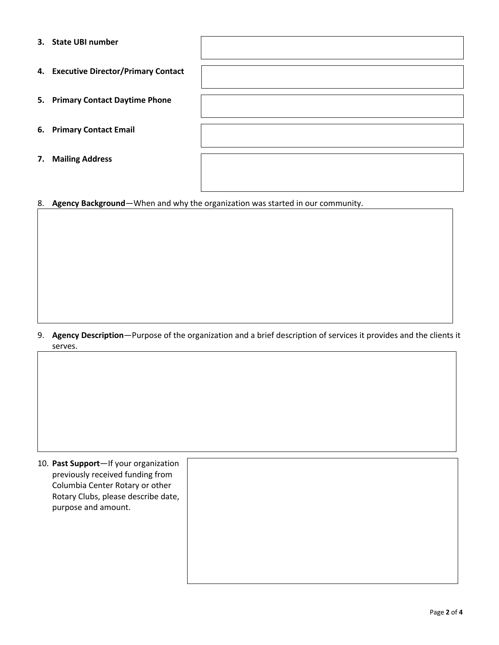| 3. | <b>State UBI number</b>               |  |
|----|---------------------------------------|--|
|    | 4. Executive Director/Primary Contact |  |
|    | 5. Primary Contact Daytime Phone      |  |
|    | 6. Primary Contact Email              |  |
| 7. | <b>Mailing Address</b>                |  |

8. **Agency Background**—When and why the organization was started in our community.

## 9. **Agency Description**—Purpose of the organization and a brief description of services it provides and the clients it serves.

10. **Past Support**—If your organization previously received funding from Columbia Center Rotary or other Rotary Clubs, please describe date, purpose and amount.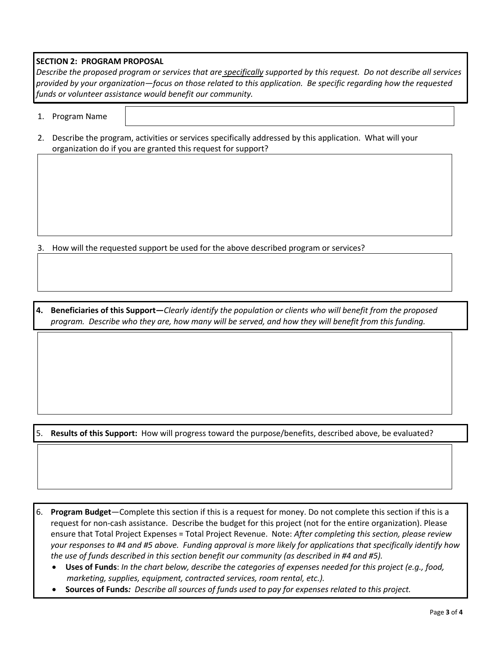## **SECTION 2: PROGRAM PROPOSAL**

*Describe the proposed program or services that are specifically supported by this request. Do not describe all services provided by your organization—focus on those related to this application. Be specific regarding how the requested funds or volunteer assistance would benefit our community.*

- 1. Program Name
- 2. Describe the program, activities or services specifically addressed by this application. What will your organization do if you are granted this request for support?

3. How will the requested support be used for the above described program or services?

**4. Beneficiaries of this Support—***Clearly identify the population or clients who will benefit from the proposed program. Describe who they are, how many will be served, and how they will benefit from this funding.*

5. **Results of this Support:** How will progress toward the purpose/benefits, described above, be evaluated?

6. **Program Budget**—Complete this section if this is a request for money. Do not complete this section if this is a request for non-cash assistance. Describe the budget for this project (not for the entire organization). Please ensure that Total Project Expenses = Total Project Revenue. Note: *After completing this section, please review your responses to #4 and #5 above. Funding approval is more likely for applications that specifically identify how the use of funds described in this section benefit our community (as described in #4 and #5).*

- **Uses of Funds**: *In the chart below, describe the categories of expenses needed for this project (e.g., food, marketing, supplies, equipment, contracted services, room rental, etc.).*
- **Sources of Funds***: Describe all sources of funds used to pay for expenses related to this project.*